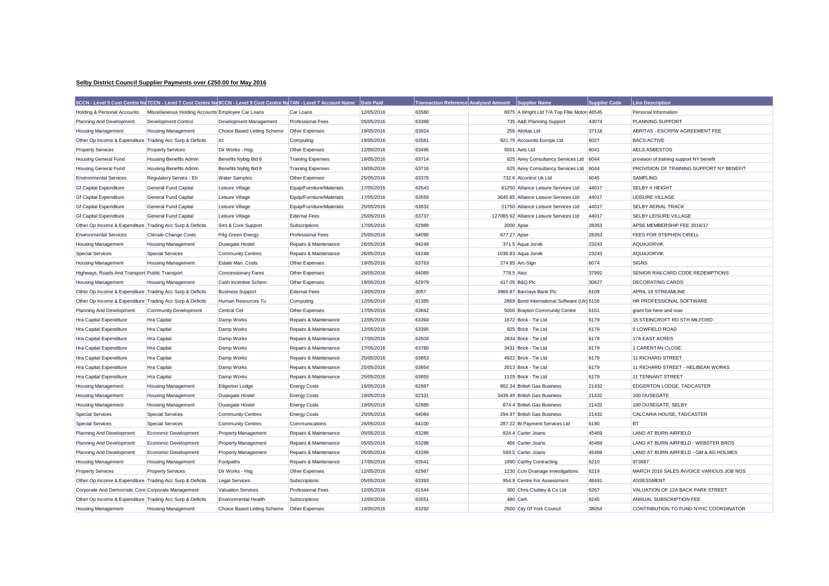## **Selby District Council Supplier Payments over £250.00 for May 2016**

|                                                           |                                                   | 5CCN - Level 5 Cost Centre Na 7CCN - Level 7 Cost Centre Na 9CCN - Level 9 Cost Centre Na 7AN - Level 7 Account Name |                           | Date Paid  | <b>Transaction Reference Analysed Amount</b> |             | Supplier Name                                | <b>Supplier Code</b> | <b>Line Description</b>                  |
|-----------------------------------------------------------|---------------------------------------------------|----------------------------------------------------------------------------------------------------------------------|---------------------------|------------|----------------------------------------------|-------------|----------------------------------------------|----------------------|------------------------------------------|
| Holding & Personal Accounts                               | Miscellaneous Holding Accounts Employee Car Loans |                                                                                                                      | Car Loans                 | 12/05/2016 | 63580                                        |             | 6975 A Wright Ltd T/A Top Flite Motor: 46545 |                      | Personal Information                     |
| Planning And Development                                  | Development Control                               | Development Management                                                                                               | <b>Professional Fees</b>  | 05/05/2016 | 63368                                        |             | 735 A&E Planning Support                     | 43074                | PLANNING SUPPORT                         |
| <b>Housing Management</b>                                 | <b>Housing Management</b>                         | Choice Based Letting Scheme                                                                                          | Other Expenses            | 19/05/2016 | 63924                                        |             | 256 Abritas Ltd                              | 37118                | ABRITAS - ESCRPW AGREEMENT FEE           |
| Other Op Income & Expenditure Trading Acc Surp & Deficits |                                                   | Ict                                                                                                                  | Computing                 | 19/05/2016 | 63561                                        |             | 921.75 Accountis Europe Ltd                  | 6027                 | <b>BACS ACTIVE</b>                       |
| <b>Property Services</b>                                  | <b>Property Services</b>                          | Dir Works - Hsg                                                                                                      | Other Expenses            | 12/05/2016 | 63496                                        |             | 5501 Aels Ltd                                | 6041                 | <b>AELS ASBESTOS</b>                     |
| Housing General Fund                                      | <b>Housing Benefits Admin</b>                     | Benefits Nybtg Bid 8                                                                                                 | <b>Training Expenses</b>  | 19/05/2016 | 63714                                        |             | 625 Airey Consultancy Services Ltd 6044      |                      | provision of training support NY benefit |
| Housing General Fund                                      | <b>Housing Benefits Admin</b>                     | Benefits Nybtg Bid 8                                                                                                 | <b>Training Expenses</b>  | 19/05/2016 | 63716                                        |             | 625 Airey Consultancy Services Ltd           | 6044                 | PROVISION OF TRAINING SUPPORT NY BENEFIT |
| <b>Environmental Services</b>                             | Regulatory Servics - Eh                           | <b>Water Samples</b>                                                                                                 | Other Expenses            | 25/05/2016 | 63378                                        |             | 732.6 Alcontrol Uk Ltd                       | 6045                 | <b>SAMPLING</b>                          |
| <b>Gf Capital Expenditure</b>                             | General Fund Capital                              | Leisure Village                                                                                                      | Equip/Furniture/Materials | 17/05/2016 | 63543                                        |             | 61250 Alliance Leisure Services Ltd          | 44017                | <b>SELBY X HEIGHT</b>                    |
| <b>Gf Capital Expenditure</b>                             | General Fund Capital                              | Leisure Village                                                                                                      | Equip/Furniture/Materials | 17/05/2016 | 63559                                        |             | 3645.85 Alliance Leisure Services Ltd        | 44017                | LEISURE VILLAGE                          |
| <b>Gf Capital Expenditure</b>                             | General Fund Capital                              | Leisure Village                                                                                                      | Equip/Furniture/Materials | 25/05/2016 | 63832                                        |             | 21750 Alliance Leisure Services Ltd          | 44017                | <b>SELBY AERIAL TRACK</b>                |
| <b>Gf Capital Expenditure</b>                             | General Fund Capital                              | Leisure Village                                                                                                      | <b>External Fees</b>      | 25/05/2016 | 63737                                        |             | 127065.92 Alliance Leisure Services Ltd      | 44017                | SELBY LEISURE VILLAGE                    |
| Other Op Income & Expenditure Trading Acc Surp & Deficits |                                                   | Smt & Core Support                                                                                                   | Subscriptions             | 17/05/2016 | 62989                                        |             | 2000 Apse                                    | 28353                | APSE MEMBERSHIP FEE 2016/17              |
| <b>Environmental Services</b>                             | <b>Climate Change Costs</b>                       | P4g Green Energy                                                                                                     | <b>Professional Fees</b>  | 25/05/2016 | 64090                                        | 677.27 Apse |                                              | 28353                | <b>FEES FOR STEPHEN CIRELL</b>           |
| Housing Management                                        | <b>Housing Management</b>                         | Ousegate Hostel                                                                                                      | Repairs & Maintenance     | 26/05/2016 | 64249                                        |             | 371.5 Aqua Jorvik                            | 23243                | <b>AQUAJORVIK</b>                        |
| <b>Special Services</b>                                   | <b>Special Services</b>                           | <b>Community Centres</b>                                                                                             | Repairs & Maintenance     | 26/05/2016 | 64249                                        |             | 1036.83 Aqua Jorvik                          | 23243                | <b>AQUAJORVIK</b>                        |
| <b>Housing Management</b>                                 | <b>Housing Management</b>                         | Estate Man. Costs                                                                                                    | Other Expenses            | 19/05/2016 | 63763                                        |             | 274.85 Arc-Sign                              | 6074                 | <b>SIGNS</b>                             |
| Highways, Roads And Transport Public Transport            |                                                   | <b>Concessionary Fares</b>                                                                                           | Other Expenses            | 26/05/2016 | 64089                                        | 778.5 Atoc  |                                              | 37992                | SENIOR RAILCARD CODE REDEMPTIONS         |
| <b>Housing Management</b>                                 | <b>Housing Management</b>                         | Cash Incentive Schem                                                                                                 | Other Expenses            | 19/05/2016 | 62979                                        |             | 417.05 B&Q Plc                               | 30627                | <b>DECORATING CARDS</b>                  |
| Other Op Income & Expenditure Trading Acc Surp & Deficits |                                                   | <b>Business Support</b>                                                                                              | <b>External Fees</b>      | 13/05/2016 | 3057                                         |             | 3966.87 Barclays Bank Plc                    | 6109                 | APRIL 16 STREAMLINE                      |
| Other Op Income & Expenditure Trading Acc Surp & Deficits |                                                   | Human Resources Tu                                                                                                   | Computing                 | 12/05/2016 | 61385                                        |             | 2869 Bond International Software (Uk) 6156   |                      | HR PROFESSIONAL SOFTWARE                 |
| Planning And Development                                  | <b>Community Development</b>                      | Central Cef                                                                                                          | Other Expenses            | 17/05/2016 | 63842                                        |             | 5000 Brayton Community Centre                | 6161                 | grant foir here and now                  |
| Hra Capital Expenditure                                   | Hra Capital                                       | Damp Works                                                                                                           | Repairs & Maintenance     | 12/05/2016 | 63394                                        |             | 1672 Brick - Tie Ltd                         | 6179                 | 15 STEINCROFT RD STH MILFORD             |
| Hra Capital Expenditure                                   | Hra Capital                                       | Damp Works                                                                                                           | Repairs & Maintenance     | 12/05/2016 | 63395                                        |             | 825 Brick - Tie Ltd                          | 6179                 | 9 LOWFIELD ROAD                          |
| Hra Capital Expenditure                                   | Hra Capital                                       | Damp Works                                                                                                           | Repairs & Maintenance     | 17/05/2016 | 63504                                        |             | 2834 Brick - Tie Ltd                         | 6179                 | 17A EAST ACRES                           |
| Hra Capital Expenditure                                   | <b>Hra Capital</b>                                | Damp Works                                                                                                           | Repairs & Maintenance     | 17/05/2016 | 63780                                        |             | 3431 Brick - Tie Ltd                         | 6179                 | 1 CARENTAN CLOSE                         |
| Hra Capital Expenditure                                   | Hra Capital                                       | Damp Works                                                                                                           | Repairs & Maintenance     | 25/05/2016 | 63853                                        |             | 4922 Brick - Tie Ltd                         | 6179                 | 11 RICHARD STREET                        |
| Hra Capital Expenditure                                   | Hra Capital                                       | Damp Works                                                                                                           | Repairs & Maintenance     | 25/05/2016 | 63854                                        |             | 2013 Brick - Tie Ltd                         | 6179                 | 11 RICHARD STREET - HELIBEAN WORKS       |
| Hra Capital Expenditure                                   | <b>Hra Capital</b>                                | Damp Works                                                                                                           | Repairs & Maintenance     | 25/05/2016 | 63855                                        |             | 1129 Brick - Tie Ltd                         | 6179                 | 21 TENNANT STREET                        |
| <b>Housing Management</b>                                 | <b>Housing Management</b>                         | <b>Edgerton Lodge</b>                                                                                                | <b>Energy Costs</b>       | 19/05/2016 | 62887                                        |             | 862.34 British Gas Business                  | 21432                | EDGERTON LODGE, TADCASTER                |
| <b>Housing Management</b>                                 | <b>Housing Management</b>                         | Ousegate Hostel                                                                                                      | <b>Energy Costs</b>       | 19/05/2016 | 62331                                        |             | 3439.49 British Gas Business                 | 21432                | 100 OUSEGATE                             |
| <b>Housing Management</b>                                 | <b>Housing Management</b>                         | Ousegate Hostel                                                                                                      | <b>Energy Costs</b>       | 19/05/2016 | 62885                                        |             | 874.4 British Gas Business                   | 21432                | 100 OUSEGATE, SELBY                      |
| <b>Special Services</b>                                   | <b>Special Services</b>                           | <b>Community Centres</b>                                                                                             | <b>Energy Costs</b>       | 25/05/2016 | 64084                                        |             | 294.97 British Gas Business                  | 21432                | CALCARIA HOUSE, TADCASTER                |
| <b>Special Services</b>                                   | <b>Special Services</b>                           | <b>Community Centres</b>                                                                                             | Communications            | 26/05/2016 | 64100                                        |             | 287.22 Bt Payment Services Ltd               | 6190                 | <b>BT</b>                                |
| Planning And Development                                  | Economic Development                              | <b>Property Management</b>                                                                                           | Repairs & Maintenance     | 05/05/2016 | 63286                                        |             | 824.4 Carter Joans                           | 45469                | <b>LAND AT BURN AIRFIELD</b>             |
| Planning And Development                                  | Economic Development                              | <b>Property Management</b>                                                                                           | Repairs & Maintenance     | 05/05/2016 | 63288                                        |             | 466 Carter Joans                             | 45469                | LAND AT BURN AIRFIELD - WEBSTER BROS     |
| Planning And Development                                  | Economic Development                              | <b>Property Management</b>                                                                                           | Repairs & Maintenance     | 05/05/2016 | 63289                                        |             | 569.5 Carter Joans                           | 45469                | LAND AT BURN AIRFIELD - GM & AG HOLMES   |
| <b>Housing Management</b>                                 | <b>Housing Management</b>                         | Footpaths                                                                                                            | Repairs & Maintenance     | 17/05/2016 | 63541                                        |             | 1890 Carthy Contracting                      | 6210                 | 973687                                   |
| <b>Property Services</b>                                  | <b>Property Services</b>                          | Dir Works - Hsg                                                                                                      | Other Expenses            | 12/05/2016 | 62987                                        |             | 1230 Cctv Drainage Investigations            | 6219                 | MARCH 2016 SALES INVOICE VARIOUS JOB NOS |
| Other Op Income & Expenditure Trading Acc Surp & Deficits |                                                   | <b>Legal Services</b>                                                                                                | Subscriptions             | 05/05/2016 | 63393                                        |             | 954.9 Centre For Assessment                  | 46491                | <b>ASSESSMENT</b>                        |
| Corporate And Democratic Core Corporate Management        |                                                   | <b>Valuation Services</b>                                                                                            | <b>Professional Fees</b>  | 12/05/2016 | 61544                                        |             | 300 Chris Clubley & Co Ltd                   | 6267                 | VALUATION OF 12A BACK PARK STREET        |
| Other Op Income & Expenditure Trading Acc Surp & Deficits |                                                   | <b>Environmental Health</b>                                                                                          | Subscriptions             | 12/05/2016 | 63551                                        |             | 480 Cieh                                     | 6245                 | ANNUAL SUBSCRIPTION FEE                  |
| <b>Housing Management</b>                                 | <b>Housing Management</b>                         | Choice Based Letting Scheme   Other Expenses                                                                         |                           | 19/05/2016 | 63292                                        |             | 2500 City Of York Council                    | 38054                | CONTRIBUTION TO FUND NYHC COORDINATOR    |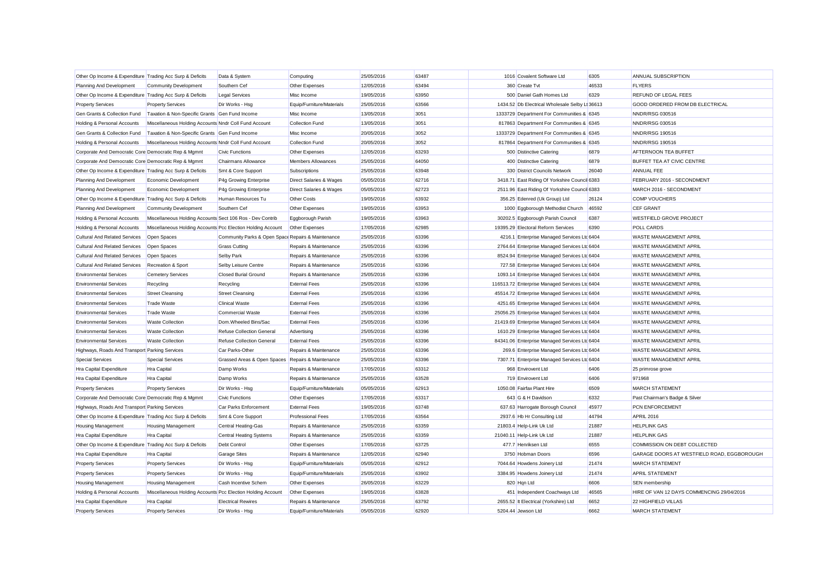| Other Op Income & Expenditure Trading Acc Surp & Deficits |                                                             | Data & System                                      | Computing                 | 25/05/2016 | 63487 | 1016 Covalent Software Ltd                     | 6305  | ANNUAL SUBSCRIPTION                        |
|-----------------------------------------------------------|-------------------------------------------------------------|----------------------------------------------------|---------------------------|------------|-------|------------------------------------------------|-------|--------------------------------------------|
| Planning And Development                                  | Community Development                                       | Southern Cef                                       | Other Expenses            | 12/05/2016 | 63494 | 360 Create Tvt                                 | 46533 | <b>FLYERS</b>                              |
| Other Op Income & Expenditure Trading Acc Surp & Deficits |                                                             | <b>Legal Services</b>                              | Misc Income               | 19/05/2016 | 63950 | 500 Daniel Gath Homes Ltd                      | 6329  | REFUND OF LEGAL FEES                       |
| <b>Property Services</b>                                  | <b>Property Services</b>                                    | Dir Works - Hsg                                    | Equip/Furniture/Materials | 25/05/2016 | 63566 | 1434.52 Db Electrical Wholesale Selby Lt 36613 |       | GOOD ORDERED FROM DB ELECTRICAL            |
| Gen Grants & Collection Fund                              | Taxation & Non-Specific Grants Gen Fund Income              |                                                    | Misc Income               | 13/05/2016 | 3051  | 1333729 Department For Communities & 6345      |       | NNDR/RSG 030516                            |
| Holding & Personal Accounts                               | Miscellaneous Holding Accounts Nndr Coll Fund Account       |                                                    | <b>Collection Fund</b>    | 13/05/2016 | 3051  | 817863 Department For Communities & 6345       |       | NNDR/RSG 030516                            |
| Gen Grants & Collection Fund                              | Taxation & Non-Specific Grants Gen Fund Income              |                                                    | Misc Income               | 20/05/2016 | 3052  | 1333729 Department For Communities & 6345      |       | NNDR/RSG 190516                            |
| Holding & Personal Accounts                               | Miscellaneous Holding Accounts Nndr Coll Fund Account       |                                                    | <b>Collection Fund</b>    | 20/05/2016 | 3052  | 817864 Department For Communities & 6345       |       | NNDR/RSG 190516                            |
| Corporate And Democratic Core Democratic Rep & Mgmnt      |                                                             | <b>Civic Functions</b>                             | Other Expenses            | 12/05/2016 | 63293 | 500 Distinctive Catering                       | 6879  | AFTERNOON TEA BUFFET                       |
| Corporate And Democratic Core Democratic Rep & Mgmnt      |                                                             | Chairmans Allowance                                | <b>Members Allowances</b> | 25/05/2016 | 64050 | 400 Distinctive Catering                       | 6879  | BUFFET TEA AT CIVIC CENTRE                 |
| Other Op Income & Expenditure Trading Acc Surp & Deficits |                                                             | Smt & Core Support                                 | <b>Subscriptions</b>      | 25/05/2016 | 63948 | 330 District Councils Network                  | 26040 | <b>ANNUAL FEE</b>                          |
| Planning And Development                                  | Economic Development                                        | P4g Growing Enterprise                             | Direct Salaries & Wages   | 05/05/2016 | 62716 | 3418.71 East Riding Of Yorkshire Council 6383  |       | FEBRUARY 2016 - SECONDMENT                 |
| Planning And Development                                  | Economic Development                                        | P4g Growing Enterprise                             | Direct Salaries & Wages   | 05/05/2016 | 62723 | 2511.96 East Riding Of Yorkshire Council 6383  |       | MARCH 2016 - SECONDMENT                    |
| Other Op Income & Expenditure Trading Acc Surp & Deficits |                                                             | Human Resources Tu                                 | Other Costs               | 19/05/2016 | 63932 | 356.25 Edenred (Uk Group) Ltd                  | 26124 | <b>COMP VOUCHERS</b>                       |
| Planning And Development                                  | <b>Community Development</b>                                | Southern Cef                                       | Other Expenses            | 19/05/2016 | 63953 | 1000 Eggborough Methodist Church 46592         |       | CEF GRANT                                  |
| Holding & Personal Accounts                               | Miscellaneous Holding Accounts Sect 106 Ros - Dev Contrib   |                                                    | Eggborough Parish         | 19/05/2016 | 63963 | 30202.5 Eggborough Parish Council              | 6387  | <b>WESTFIELD GROVE PROJECT</b>             |
| Holding & Personal Accounts                               | Miscellaneous Holding Accounts Pcc Election Holding Account |                                                    | Other Expenses            | 17/05/2016 | 62985 | 19395.29 Electoral Reform Services             | 6390  | POLL CARDS                                 |
| <b>Cultural And Related Services</b>                      | Open Spaces                                                 | Community Parks & Open Space Repairs & Maintenance |                           | 25/05/2016 | 63396 | 4216.1 Enterprise Managed Services Ltd 6404    |       | WASTE MANAGEMENT APRIL                     |
| <b>Cultural And Related Services</b>                      | Open Spaces                                                 | <b>Grass Cutting</b>                               | Repairs & Maintenance     | 25/05/2016 | 63396 | 2764.64 Enterprise Managed Services Ltd 6404   |       | WASTE MANAGEMENT APRIL                     |
| <b>Cultural And Related Services</b>                      | Open Spaces                                                 | Selby Park                                         | Repairs & Maintenance     | 25/05/2016 | 63396 | 8524.94 Enterprise Managed Services Ltd 6404   |       | WASTE MANAGEMENT APRIL                     |
| <b>Cultural And Related Services</b>                      | Recreation & Sport                                          | Selby Leisure Centre                               | Repairs & Maintenance     | 25/05/2016 | 63396 | 727.58 Enterprise Managed Services Ltd 6404    |       | WASTE MANAGEMENT APRIL                     |
| <b>Environmental Services</b>                             | <b>Cemetery Services</b>                                    | <b>Closed Burial Ground</b>                        | Repairs & Maintenance     | 25/05/2016 | 63396 | 1093.14 Enterprise Managed Services Ltd 6404   |       | WASTE MANAGEMENT APRIL                     |
| <b>Environmental Services</b>                             | Recycling                                                   | Recycling                                          | <b>External Fees</b>      | 25/05/2016 | 63396 | 116513.72 Enterprise Managed Services Ltd 6404 |       | WASTE MANAGEMENT APRIL                     |
| <b>Environmental Services</b>                             | <b>Street Cleansing</b>                                     | <b>Street Cleansing</b>                            | <b>External Fees</b>      | 25/05/2016 | 63396 | 45514.72 Enterprise Managed Services Ltd 6404  |       | WASTE MANAGEMENT APRIL                     |
| <b>Environmental Services</b>                             | <b>Trade Waste</b>                                          | <b>Clinical Waste</b>                              | <b>External Fees</b>      | 25/05/2016 | 63396 | 4251.65 Enterprise Managed Services Ltd 6404   |       | WASTE MANAGEMENT APRIL                     |
| <b>Environmental Services</b>                             | <b>Trade Waste</b>                                          | <b>Commercial Waste</b>                            | <b>External Fees</b>      | 25/05/2016 | 63396 | 25056.25 Enterprise Managed Services Ltd 6404  |       | WASTE MANAGEMENT APRIL                     |
| <b>Environmental Services</b>                             | <b>Waste Collection</b>                                     | Dom.Wheeled Bins/Sac                               | <b>External Fees</b>      | 25/05/2016 | 63396 | 21419.69 Enterprise Managed Services Ltd 6404  |       | WASTE MANAGEMENT APRIL                     |
| <b>Environmental Services</b>                             | <b>Waste Collection</b>                                     | <b>Refuse Collection General</b>                   | Advertising               | 25/05/2016 | 63396 | 1610.29 Enterprise Managed Services Ltd 6404   |       | WASTE MANAGEMENT APRIL                     |
| <b>Environmental Services</b>                             | <b>Waste Collection</b>                                     | <b>Refuse Collection General</b>                   | <b>External Fees</b>      | 25/05/2016 | 63396 | 84341.06 Enterprise Managed Services Ltd 6404  |       | WASTE MANAGEMENT APRIL                     |
| Highways, Roads And Transport Parking Services            |                                                             | Car Parks-Other                                    | Repairs & Maintenance     | 25/05/2016 | 63396 | 269.6 Enterprise Managed Services Ltd 6404     |       | WASTE MANAGEMENT APRIL                     |
| <b>Special Services</b>                                   | <b>Special Services</b>                                     | Grassed Areas & Open Spaces Repairs & Maintenance  |                           | 25/05/2016 | 63396 | 7307.71 Enterprise Managed Services Ltd 6404   |       | WASTE MANAGEMENT APRIL                     |
| Hra Capital Expenditure                                   | <b>Hra Capital</b>                                          | Damp Works                                         | Repairs & Maintenance     | 17/05/2016 | 63312 | 968 Envirovent Ltd                             | 6406  | 25 primrose grove                          |
| Hra Capital Expenditure                                   | Hra Capital                                                 | Damp Works                                         | Repairs & Maintenance     | 25/05/2016 | 63528 | 719 Envirovent Ltd                             | 6406  | 971968                                     |
| <b>Property Services</b>                                  | <b>Property Services</b>                                    | Dir Works - Hsg                                    | Equip/Furniture/Materials | 05/05/2016 | 62913 | 1050.08 Fairfax Plant Hire                     | 6509  | <b>MARCH STATEMENT</b>                     |
| Corporate And Democratic Core Democratic Rep & Mgmnt      |                                                             | <b>Civic Functions</b>                             | Other Expenses            | 17/05/2016 | 63317 | 643 G & H Davidson                             | 6332  | Past Chairman's Badge & Silver             |
| Highways, Roads And Transport Parking Services            |                                                             | Car Parks Enforcement                              | <b>External Fees</b>      | 19/05/2016 | 63748 | 637.63 Harrogate Borough Council               | 45977 | PCN ENFORCEMENT                            |
| Other Op Income & Expenditure Trading Acc Surp & Deficits |                                                             | Smt & Core Support                                 | <b>Professional Fees</b>  | 17/05/2016 | 63564 | 2937.6 Hb Hr Consulting Ltd                    | 44794 | <b>APRIL 2016</b>                          |
| Housing Management                                        | <b>Housing Management</b>                                   | Central Heating-Gas                                | Repairs & Maintenance     | 25/05/2016 | 63359 | 21803.4 Help-Link Uk Ltd                       | 21887 | <b>HELPLINK GAS</b>                        |
| Hra Capital Expenditure                                   | <b>Hra Capital</b>                                          | <b>Central Heating Systems</b>                     | Repairs & Maintenance     | 25/05/2016 | 63359 | 21040.11 Help-Link Uk Ltd                      | 21887 | <b>HELPLINK GAS</b>                        |
| Other Op Income & Expenditure Trading Acc Surp & Deficits |                                                             | Debt Control                                       | Other Expenses            | 17/05/2016 | 63725 | 477.7 Henriksen Ltd                            | 6555  | COMMISSION ON DEBT COLLECTED               |
| Hra Capital Expenditure                                   | <b>Hra Capital</b>                                          | <b>Garage Sites</b>                                | Repairs & Maintenance     | 12/05/2016 | 62940 | 3750 Hobman Doors                              | 6596  | GARAGE DOORS AT WESTFIELD ROAD. EGGBOROUGH |
| <b>Property Services</b>                                  | <b>Property Services</b>                                    | Dir Works - Hsg                                    | Equip/Furniture/Materials | 05/05/2016 | 62912 | 7044.64 Howdens Joinery Ltd                    | 21474 | <b>MARCH STATEMENT</b>                     |
| <b>Property Services</b>                                  | <b>Property Services</b>                                    | Dir Works - Hsg                                    | Equip/Furniture/Materials | 25/05/2016 | 63902 | 3384.95 Howdens Joinery Ltd                    | 21474 | APRIL STATEMENT                            |
| <b>Housing Management</b>                                 | <b>Housing Management</b>                                   | Cash Incentive Schem                               | Other Expenses            | 26/05/2016 | 63229 | 820 Hqn Ltd                                    | 6606  | SEN membership                             |
| Holding & Personal Accounts                               | Miscellaneous Holding Accounts Pcc Election Holding Account |                                                    | Other Expenses            | 19/05/2016 | 63828 | 451 Independent Coachways Ltd                  | 46565 | HIRE OF VAN 12 DAYS COMMENCING 29/04/2016  |
| Hra Capital Expenditure                                   | <b>Hra Capital</b>                                          | <b>Electrical Rewires</b>                          | Repairs & Maintenance     | 25/05/2016 | 63792 | 2655.52 It Electrical (Yorkshire) Ltd          | 6652  | 22 HIGHFIELD VILLAS                        |
| <b>Property Services</b>                                  | <b>Property Services</b>                                    | Dir Works - Hsa                                    | Equip/Furniture/Materials | 05/05/2016 | 62920 | 5204.44 Jewson Ltd                             | 6662  | <b>MARCH STATEMENT</b>                     |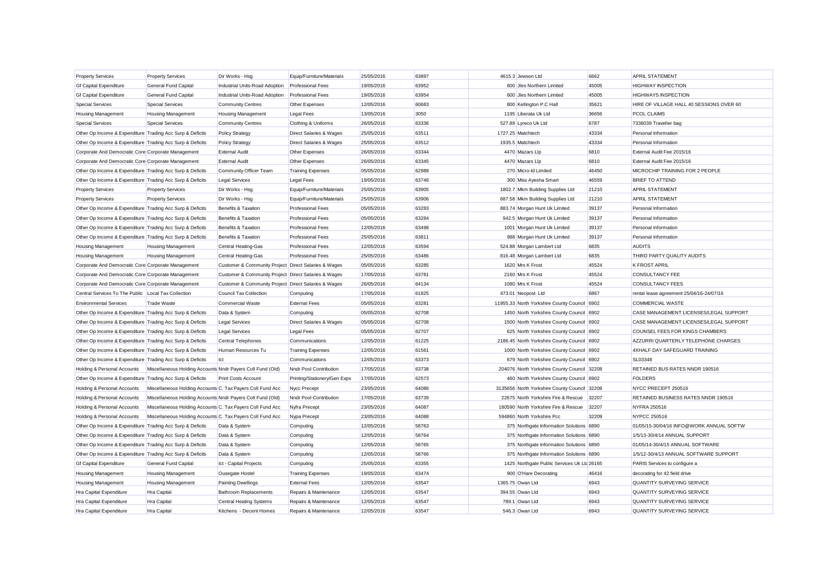| <b>Property Services</b>                                                                 | <b>Property Services</b>                                   | Dir Works - Hsg                                      | Equip/Furniture/Materials    | 25/05/2016               | 63897 | 4615.3 Jewson Ltd                                                                       | 6662  | <b>APRIL STATEMENT</b>                   |
|------------------------------------------------------------------------------------------|------------------------------------------------------------|------------------------------------------------------|------------------------------|--------------------------|-------|-----------------------------------------------------------------------------------------|-------|------------------------------------------|
| <b>Gf Capital Expenditure</b>                                                            | General Fund Capital                                       | Industrial Units-Road Adoption                       | <b>Professional Fees</b>     | 19/05/2016               | 63952 | 600 Jles Northern Limited                                                               | 45005 | <b>HIGHWAY INSPECTION</b>                |
| <b>Gf Capital Expenditure</b>                                                            | <b>General Fund Capital</b>                                | Industrial Units-Road Adoption                       | <b>Professional Fees</b>     | 19/05/2016               | 63954 | 600 Jles Northern Limited                                                               | 45005 | <b>HIGHWAYS INSPECTION</b>               |
| <b>Special Services</b>                                                                  | Special Services                                           | <b>Community Centres</b>                             | Other Expenses               | 12/05/2016               | 60683 | 800 Kellington P.C Hall                                                                 | 35621 | HIRE OF VILLAGE HALL 40 SESSIONS OVER 60 |
| Housing Management                                                                       | <b>Housing Management</b>                                  | <b>Housing Management</b>                            | <b>Legal Fees</b>            | 13/05/2016               | 3050  | 1195 Liberata Uk Ltd                                                                    | 36656 | PCOL CLAIMS                              |
| <b>Special Services</b>                                                                  | <b>Special Services</b>                                    | <b>Community Centres</b>                             | Clothing & Uniforms          | 26/05/2016               | 63336 | 527.89 Lyreco Uk Ltd                                                                    | 6787  | 7336039 Traveller bag                    |
| Other Op Income & Expenditure Trading Acc Surp & Deficits                                |                                                            | <b>Policy Strategy</b>                               | Direct Salaries & Wages      | 25/05/2016               | 63511 | 1727.25 Matchtech                                                                       | 43334 | Personal Information                     |
| Other Op Income & Expenditure Trading Acc Surp & Deficits                                |                                                            | <b>Policy Strategy</b>                               | Direct Salaries & Wages      | 25/05/2016               | 63512 | 1935.5 Matchtech                                                                        | 43334 | Personal Information                     |
| Corporate And Democratic Core Corporate Management                                       |                                                            | <b>External Audit</b>                                | Other Expenses               | 26/05/2016               | 63344 | 4470 Mazars Llo                                                                         | 6810  | External Audit Fee 2015/16               |
| Corporate And Democratic Core Corporate Management                                       |                                                            | <b>External Audit</b>                                | Other Expenses               | 26/05/2016               | 63345 | 4470 Mazars Llo                                                                         | 6810  | External Audit Fee 2015/16               |
| Other Op Income & Expenditure Trading Acc Surp & Deficits                                |                                                            | Community Officer Team                               | <b>Training Expenses</b>     | 05/05/2016               | 62988 | 270 Micro-Id Limited                                                                    | 46450 | MICROCHIP TRAINING FOR 2 PEOPLE          |
| Other Op Income & Expenditure Trading Acc Surp & Deficits                                |                                                            | <b>Legal Services</b>                                | Legal Fees                   | 19/05/2016               | 63746 | 300 Miss Ayesha Smart                                                                   | 46559 | <b>BRIEF TO ATTEND</b>                   |
| <b>Property Services</b>                                                                 | <b>Property Services</b>                                   | Dir Works - Hsg                                      | Equip/Furniture/Materials    | 25/05/2016               | 63905 | 1802.7 Mkm Building Supplies Ltd                                                        | 21210 | <b>APRIL STATEMENT</b>                   |
| <b>Property Services</b>                                                                 | <b>Property Services</b>                                   | Dir Works - Hsg                                      | Equip/Furniture/Materials    | 25/05/2016               | 63906 | 687.58 Mkm Building Supplies Ltd                                                        | 21210 | <b>APRIL STATEMENT</b>                   |
| Other Op Income & Expenditure Trading Acc Surp & Deficits                                |                                                            | Benefits & Taxation                                  | <b>Professional Fees</b>     | 05/05/2016               | 63283 | 883.74 Morgan Hunt Uk Limited                                                           | 39137 | Personal Information                     |
| Other Op Income & Expenditure Trading Acc Surp & Deficits                                |                                                            | <b>Benefits &amp; Taxation</b>                       | <b>Professional Fees</b>     | 05/05/2016               | 63284 | 942.5 Morgan Hunt Uk Limited                                                            | 39137 | Personal Information                     |
| Other Op Income & Expenditure Trading Acc Surp & Deficits                                |                                                            | Benefits & Taxation                                  | <b>Professional Fees</b>     | 12/05/2016               | 63498 | 1001 Morgan Hunt Uk Limited                                                             | 39137 | Personal Information                     |
| Other Op Income & Expenditure Trading Acc Surp & Deficits                                |                                                            | <b>Benefits &amp; Taxation</b>                       | <b>Professional Fees</b>     | 25/05/2016               | 63811 | 988 Morgan Hunt Uk Limited                                                              | 39137 | Personal Information                     |
| <b>Housing Management</b>                                                                | <b>Housing Management</b>                                  | Central Heating-Gas                                  | <b>Professional Fees</b>     | 12/05/2016               | 63594 | 524.88 Morgan Lambert Ltd                                                               | 6835  | <b>AUDITS</b>                            |
| Housing Management                                                                       | <b>Housing Management</b>                                  | Central Heating-Gas                                  | <b>Professional Fees</b>     | 25/05/2016               | 63486 | 816.48 Morgan Lambert Ltd                                                               | 6835  | THIRD PARTY QUALITY AUDITS               |
| Corporate And Democratic Core Corporate Management                                       |                                                            | Customer & Community Project Direct Salaries & Wages |                              | 05/05/2016               | 63285 | 1620 Mrs K Frost                                                                        | 45524 | <b>K FROST APRIL</b>                     |
| Corporate And Democratic Core Corporate Management                                       |                                                            | Customer & Community Project Direct Salaries & Wages |                              | 17/05/2016               | 63781 | 2160 Mrs K Frost                                                                        | 45524 | CONSULTANCY FEE                          |
| Corporate And Democratic Core Corporate Management                                       |                                                            | Customer & Community Project Direct Salaries & Wages |                              | 26/05/2016               | 64134 | 1080 Mrs K Frost                                                                        | 45524 | <b>CONSULTANCY FEES</b>                  |
| Central Services To The Public Local Tax Collection                                      |                                                            | Council Tax Collection                               | Computing                    | 17/05/2016               | 61825 | 473.01 Neopost Ltd                                                                      | 6867  | rental lease agreement 25/04/16-24/07/16 |
| <b>Environmental Services</b>                                                            | <b>Trade Waste</b>                                         | <b>Commercial Waste</b>                              | <b>External Fees</b>         | 05/05/2016               | 63281 | 11955.33 North Yorkshire County Council 6902                                            |       | <b>COMMERCIAL WASTE</b>                  |
| Other Op Income & Expenditure Trading Acc Surp & Deficits                                |                                                            | Data & System                                        | Computing                    | 05/05/2016               | 62708 | 1450 North Yorkshire County Council 6902                                                |       | CASE MANAGEMENT LICENSES/LEGAL SUPPORT   |
| Other Op Income & Expenditure Trading Acc Surp & Deficits                                |                                                            | <b>Legal Services</b>                                | Direct Salaries & Wages      | 05/05/2016               | 62708 | 1500 North Yorkshire County Council 6902                                                |       | CASE MANAGEMENT LICENSES/LEGAL SUPPORT   |
| Other Op Income & Expenditure Trading Acc Surp & Deficits                                |                                                            | Legal Services                                       | Legal Fees                   | 05/05/2016               | 62707 | 625 North Yorkshire County Council 6902                                                 |       | COUNSEL FEES FOR KINGS CHAMBERS          |
| Other Op Income & Expenditure Trading Acc Surp & Deficits                                |                                                            | <b>Central Telephones</b>                            | Communications               | 12/05/2016               | 61225 | 2186.45 North Yorkshire County Council 6902                                             |       | AZZURRI QUARTERLY TELEPHONE CHARGES      |
| Other Op Income & Expenditure Trading Acc Surp & Deficits                                |                                                            | Human Resources Tu                                   | <b>Training Expenses</b>     | 12/05/2016               | 61561 | 1000 North Yorkshire County Council 6902                                                |       | 4XHALF DAY SAFEGUARD TRAINING            |
| Other Op Income & Expenditure Trading Acc Surp & Deficits                                |                                                            | Ict                                                  | Communications               | 12/05/2016               | 63373 | 679 North Yorkshire County Council 6902                                                 |       | SL03348                                  |
| Holding & Personal Accounts                                                              |                                                            |                                                      | Nndr Pool Contribution       | 17/05/2016               | 63738 |                                                                                         |       | RETAINED BUS RATES NNDR 190516           |
|                                                                                          | Miscellaneous Holding Accounts Nndr Payers Coll Fund (Old) |                                                      |                              |                          | 62573 | 204076 North Yorkshire County Council 32208                                             |       |                                          |
| Other Op Income & Expenditure Trading Acc Surp & Deficits<br>Holding & Personal Accounts | Miscellaneous Holding Accounts C. Tax Payers Coll Fund Acc | <b>Print Costs Account</b>                           | Printing/Stationery/Gen Exps | 17/05/2016<br>23/05/2016 | 64086 | 460 North Yorkshire County Council 6902<br>3135656 North Yorkshire County Council 32208 |       | <b>FOLDERS</b><br>NYCC PRECEPT 250516    |
|                                                                                          |                                                            |                                                      | Nycc Precept                 | 17/05/2016               | 63739 | 22675 North Yorkshire Fire & Rescue                                                     | 32207 | RETAINED BUSINESS RATES NNDR 190516      |
| Holding & Personal Accounts                                                              | Miscellaneous Holding Accounts Nndr Payers Coll Fund (Old) |                                                      | Nndr Pool Contribution       | 23/05/2016               | 64087 | 180590 North Yorkshire Fire & Rescue                                                    | 32207 | <b>NYFRA 250516</b>                      |
| Holding & Personal Accounts                                                              | Miscellaneous Holding Accounts C. Tax Payers Coll Fund Acc |                                                      | Nyfra Precept                |                          |       |                                                                                         |       |                                          |
| Holding & Personal Accounts                                                              | Miscellaneous Holding Accounts C. Tax Payers Coll Fund Acc |                                                      | Nypa Precept                 | 23/05/2016               | 64088 | 594860 North Yorkshire Pcc                                                              | 32209 | NYPCC 250516                             |
| Other Op Income & Expenditure Trading Acc Surp & Deficits                                |                                                            | Data & System                                        | Computing                    | 12/05/2016               | 58763 | 375 Northgate Information Solutions 6890                                                |       | 01/05/15-30/04/16 INFO@WORK ANNUAL SOFTW |
| Other Op Income & Expenditure Trading Acc Surp & Deficits                                |                                                            | Data & System                                        | Computing                    | 12/05/2016               | 58764 | 375 Northgate Information Solutions 6890                                                |       | 1/5/13-30/4/14 ANNUAL SUPPORT            |
| Other Op Income & Expenditure Trading Acc Surp & Deficits                                |                                                            | Data & System                                        | Computing                    | 12/05/2016               | 58765 | 375 Northgate Information Solutions 6890                                                |       | 01/05/14-30/4/15 ANNUAL SOFTWARE         |
| Other Op Income & Expenditure Trading Acc Surp & Deficits                                |                                                            | Data & System                                        | Computing                    | 12/05/2016               | 58766 | 375 Northgate Information Solutions 6890                                                |       | 1/5/12-30/4/13 ANNUAL SOFTWARE SUPPORT   |
| <b>Gf Capital Expenditure</b>                                                            | General Fund Capital                                       | Ict - Capital Projects                               | Computing                    | 25/05/2016               | 63355 | 1425 Northgate Public Services Uk Ltd 26165                                             |       | PARIS Services to configure a            |
| <b>Housing Management</b>                                                                | <b>Housing Management</b>                                  | <b>Ousegate Hostel</b>                               | <b>Training Expenses</b>     | 19/05/2016               | 63474 | 900 O'Hare Decorating                                                                   | 46416 | decorating for 42 field drive            |
| Housing Management                                                                       | <b>Housing Management</b>                                  | <b>Painting Dwellings</b>                            | <b>External Fees</b>         | 12/05/2016               | 63547 | 1365.75 Owan Ltd                                                                        | 6943  | QUANTITY SURVEYING SERVICE               |
| Hra Capital Expenditure                                                                  | <b>Hra Capital</b>                                         | <b>Bathroom Replacements</b>                         | Repairs & Maintenance        | 12/05/2016               | 63547 | 394.55 Owan Ltd                                                                         | 6943  | QUANTITY SURVEYING SERVICE               |
| Hra Capital Expenditure                                                                  | <b>Hra Capital</b>                                         | Central Heating Systems                              | Repairs & Maintenance        | 12/05/2016               | 63547 | 789.1 Owan Ltd                                                                          | 6943  | QUANTITY SURVEYING SERVICE               |
| Hra Capital Expenditure                                                                  | <b>Hra</b> Capital                                         | Kitchens - Decent Homes                              | Repairs & Maintenance        | 12/05/2016               | 63547 | 546.3 Owan Ltd                                                                          | 6943  | QUANTITY SURVEYING SERVICE               |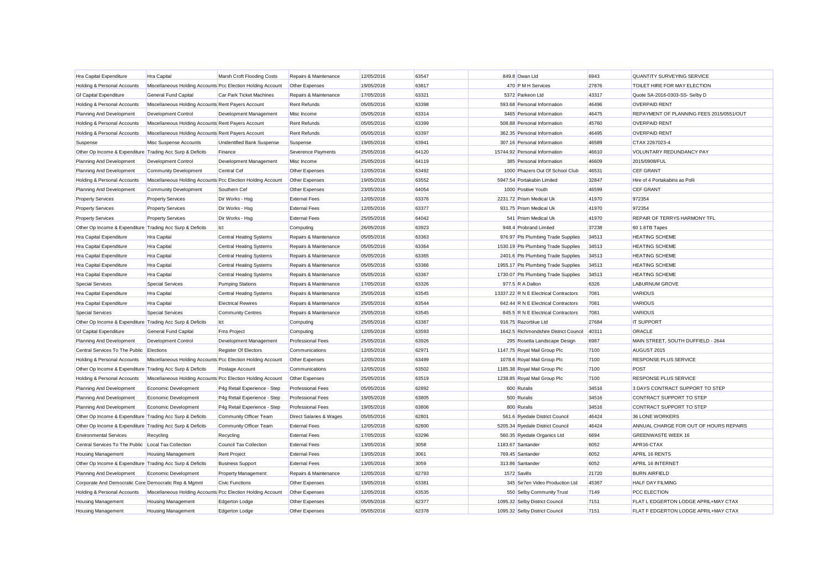| Hra Capital Expenditure                                   | Hra Capital                                                 | Marsh Croft Flooding Costs     | Repairs & Maintenance    | 12/05/2016 | 63547 | 849.8 Owan Ltd                        | 6943  | QUANTITY SURVEYING SERVICE               |
|-----------------------------------------------------------|-------------------------------------------------------------|--------------------------------|--------------------------|------------|-------|---------------------------------------|-------|------------------------------------------|
| Holding & Personal Accounts                               | Miscellaneous Holding Accounts Pcc Election Holding Account |                                | Other Expenses           | 19/05/2016 | 63817 | 470 P M H Services                    | 27876 | TOILET HIRE FOR MAY ELECTION             |
| <b>Gf Capital Expenditure</b>                             | <b>General Fund Capital</b>                                 | Car Park Ticket Machines       | Repairs & Maintenance    | 17/05/2016 | 63321 | 5372 Parkeon Ltd                      | 43317 | Quote SA-2016-0303-SS- Selby D           |
| Holding & Personal Accounts                               | Miscellaneous Holding Accounts Rent Payers Account          |                                | <b>Rent Refunds</b>      | 05/05/2016 | 63398 | 593.68 Personal Information           | 46496 | <b>OVERPAID RENT</b>                     |
| Planning And Development                                  | Development Control                                         | Development Management         | Misc Income              | 05/05/2016 | 63314 | 3465 Personal Information             | 46475 | REPAYMENT OF PLANNING FEES 2015/0551/OUT |
| Holding & Personal Accounts                               | Miscellaneous Holding Accounts Rent Payers Account          |                                | <b>Rent Refunds</b>      | 05/05/2016 | 63399 | 508.88 Personal Information           | 45760 | <b>OVERPAID RENT</b>                     |
| Holding & Personal Accounts                               | Miscellaneous Holding Accounts Rent Payers Account          |                                | <b>Rent Refunds</b>      | 05/05/2016 | 63397 | 362.35 Personal Information           | 46495 | <b>OVERPAID RENT</b>                     |
| Suspense                                                  | Misc Suspense Accounts                                      | Unidentified Bank Suspense     | Suspense                 | 19/05/2016 | 63941 | 307.16 Personal Information           | 46589 | CTAX 2267023-4                           |
| Other Op Income & Expenditure Trading Acc Surp & Deficits |                                                             | Finance                        | Severence Payments       | 25/05/2016 | 64120 | 15744.92 Personal Information         | 46610 | VOLUNTARY REDUNDANCY PAY                 |
| Planning And Development                                  | Development Control                                         | Development Management         | Misc Income              | 25/05/2016 | 64119 | 385 Personal Information              | 46609 | 2015/0908/FUL                            |
| Planning And Development                                  | Community Development                                       | Central Cef                    | Other Expenses           | 12/05/2016 | 63492 | 1000 Phazers Out Of School Club       | 46531 | CEF GRANT                                |
| Holding & Personal Accounts                               | Miscellaneous Holding Accounts Pcc Election Holding Account |                                | Other Expenses           | 19/05/2016 | 63552 | 5947.54 Portakabin Limited            | 32847 | Hire of 4 Portakabins as Polli           |
| Planning And Development                                  | <b>Community Development</b>                                | Southern Cef                   | Other Expenses           | 23/05/2016 | 64054 | 1000 Positive Youth                   | 46599 | <b>CEF GRANT</b>                         |
| <b>Property Services</b>                                  | <b>Property Services</b>                                    | Dir Works - Hsg                | <b>External Fees</b>     | 12/05/2016 | 63376 | 2231.72 Prism Medical Uk              | 41970 | 972354                                   |
| <b>Property Services</b>                                  | <b>Property Services</b>                                    | Dir Works - Hsg                | <b>External Fees</b>     | 12/05/2016 | 63377 | 931.75 Prism Medical Uk               | 41970 | 972354                                   |
| <b>Property Services</b>                                  | <b>Property Services</b>                                    | Dir Works - Hsg                | <b>External Fees</b>     | 25/05/2016 | 64042 | 541 Prism Medical Uk                  | 41970 | REPAIR OF TERRYS HARMONY TFL             |
| Other Op Income & Expenditure Trading Acc Surp & Deficits |                                                             | Ict                            | Computing                | 26/05/2016 | 63923 | 948.4 Probrand Limited                | 37238 | 60 1.6TB Tapes                           |
| Hra Capital Expenditure                                   | Hra Capital                                                 | <b>Central Heating Systems</b> | Repairs & Maintenance    | 05/05/2016 | 63363 | 976.97 Pts Plumbing Trade Supplies    | 34513 | <b>HEATING SCHEME</b>                    |
| Hra Capital Expenditure                                   | Hra Capital                                                 | Central Heating Systems        | Repairs & Maintenance    | 05/05/2016 | 63364 | 1530.19 Pts Plumbing Trade Supplies   | 34513 | <b>HEATING SCHEME</b>                    |
| Hra Capital Expenditure                                   | Hra Capital                                                 | Central Heating Systems        | Repairs & Maintenance    | 05/05/2016 | 63365 | 2401.6 Pts Plumbing Trade Supplies    | 34513 | <b>HEATING SCHEME</b>                    |
| Hra Capital Expenditure                                   | Hra Capital                                                 | <b>Central Heating Systems</b> | Repairs & Maintenance    | 05/05/2016 | 63366 | 1955.17 Pts Plumbing Trade Supplies   | 34513 | <b>HEATING SCHEME</b>                    |
| Hra Capital Expenditure                                   | Hra Capital                                                 | <b>Central Heating Systems</b> | Repairs & Maintenance    | 05/05/2016 | 63367 | 1730.07 Pts Plumbing Trade Supplies   | 34513 | <b>HEATING SCHEME</b>                    |
| Special Services                                          | <b>Special Services</b>                                     | <b>Pumping Stations</b>        | Repairs & Maintenance    | 17/05/2016 | 63326 | 977.5 R A Dalton                      | 6326  | LABURNUM GROVE                           |
| Hra Capital Expenditure                                   | <b>Hra Capital</b>                                          | <b>Central Heating Systems</b> | Repairs & Maintenance    | 25/05/2016 | 63545 | 13337.22 R N E Electrical Contractors | 7081  | <b>VARIOUS</b>                           |
| Hra Capital Expenditure                                   | Hra Capital                                                 | <b>Electrical Rewires</b>      | Repairs & Maintenance    | 25/05/2016 | 63544 | 642.44 R N E Electrical Contractors   | 7081  | <b>VARIOUS</b>                           |
| <b>Special Services</b>                                   | <b>Special Services</b>                                     | <b>Community Centres</b>       | Repairs & Maintenance    | 25/05/2016 | 63545 | 845.5 R N E Electrical Contractors    | 7081  | <b>VARIOUS</b>                           |
| Other Op Income & Expenditure Trading Acc Surp & Deficits |                                                             | Ict                            | Computing                | 25/05/2016 | 63387 | 916.75 Razorblue Ltd                  | 27684 | <b>IT SUPPORT</b>                        |
| <b>Gf Capital Expenditure</b>                             | <b>General Fund Capital</b>                                 | <b>Fms Project</b>             | Computing                | 12/05/2016 | 63593 | 1642.5 Richmondshire District Council | 40311 | ORACLE                                   |
| Planning And Development                                  | Development Control                                         | Development Management         | <b>Professional Fees</b> | 25/05/2016 | 63926 | 295 Rosetta Landscape Design          | 6987  | MAIN STREET, SOUTH DUFFIELD - 2644       |
| Central Services To The Public                            | Elections                                                   | Register Of Electors           | Communications           | 12/05/2016 | 62971 | 1147.75 Royal Mail Group Plc          | 7100  | AUGUST 2015                              |
| Holding & Personal Accounts                               | Miscellaneous Holding Accounts Pcc Election Holding Account |                                | Other Expenses           | 12/05/2016 | 63499 | 1078.6 Royal Mail Group Plc           | 7100  | RESPONSE PLUS SERVICE                    |
| Other Op Income & Expenditure Trading Acc Surp & Deficits |                                                             | Postage Account                | Communications           | 12/05/2016 | 63502 | 1185.38 Royal Mail Group Plc          | 7100  | POST                                     |
| Holding & Personal Accounts                               | Miscellaneous Holding Accounts Pcc Election Holding Account |                                | Other Expenses           | 25/05/2016 | 63519 | 1238.85 Royal Mail Group Plc          | 7100  | RESPONSE PLUS SERVICE                    |
| Planning And Development                                  | Economic Development                                        | P4g Retail Experience - Step   | <b>Professional Fees</b> | 05/05/2016 | 62892 | 600 Ruralis                           | 34516 | 3 DAYS CONTRACT SUPPORT TO STEP          |
| Planning And Development                                  | Economic Development                                        | P4g Retail Experience - Step   | <b>Professional Fees</b> | 19/05/2016 | 63805 | 500 Ruralis                           | 34516 | CONTRACT SUPPORT TO STEP                 |
| Planning And Development                                  | Economic Development                                        | P4g Retail Experience - Step   | <b>Professional Fees</b> | 19/05/2016 | 63806 | 800 Ruralis                           | 34516 | CONTRACT SUPPORT TO STEP                 |
| Other Op Income & Expenditure Trading Acc Surp & Deficits |                                                             | Community Officer Team         | Direct Salaries & Wages  | 05/05/2016 | 62801 | 561.6 Ryedale District Council        | 46424 | 36 LONE WORKERS                          |
| Other Op Income & Expenditure Trading Acc Surp & Deficits |                                                             | Community Officer Team         | <b>External Fees</b>     | 12/05/2016 | 62800 | 5205.34 Ryedale District Council      | 46424 | ANNUAL CHARGE FOR OUT OF HOURS REPAIRS   |
| <b>Environmental Services</b>                             | Recycling                                                   | Recycling                      | <b>External Fees</b>     | 17/05/2016 | 63296 | 560.35 Ryedale Organics Ltd           | 6694  | <b>GREENWASTE WEEK 16</b>                |
| Central Services To The Public Local Tax Collection       |                                                             | Council Tax Collection         | <b>External Fees</b>     | 13/05/2016 | 3058  | 1183.67 Santander                     | 6052  | APR16-CTAX                               |
| <b>Housing Management</b>                                 | <b>Housing Management</b>                                   | <b>Rent Project</b>            | <b>External Fees</b>     | 13/05/2016 | 3061  | 769.45 Santander                      | 6052  | APRIL 16 RENTS                           |
| Other Op Income & Expenditure Trading Acc Surp & Deficits |                                                             | <b>Business Support</b>        | <b>External Fees</b>     | 13/05/2016 | 3059  | 313.86 Santander                      | 6052  | APRIL 16 INTERNET                        |
| Planning And Development                                  | Economic Development                                        | <b>Property Management</b>     | Repairs & Maintenance    | 12/05/2016 | 62793 | 1572 Savills                          | 21720 | <b>BURN AIRFIELD</b>                     |
| Corporate And Democratic Core Democratic Rep & Mgmnt      |                                                             | <b>Civic Functions</b>         | Other Expenses           | 19/05/2016 | 63381 | 345 Se7en Video Production Ltd        | 45367 | HALF DAY FILMING                         |
| Holding & Personal Accounts                               | Miscellaneous Holding Accounts Pcc Election Holding Account |                                | Other Expenses           | 12/05/2016 | 63535 | 550 Selby Community Trust             | 7149  | PCC ELECTION                             |
| <b>Housing Management</b>                                 | <b>Housing Management</b>                                   | <b>Edgerton Lodge</b>          | Other Expenses           | 05/05/2016 | 62377 | 1095.32 Selby District Council        | 7151  | FLAT L EDGERTON LODGE APRIL+MAY CTAX     |
| <b>Housing Management</b>                                 | <b>Housing Management</b>                                   | <b>Edgerton Lodge</b>          | Other Expenses           | 05/05/2016 | 62378 | 1095.32 Selby District Council        | 7151  | FLAT F EDGERTON LODGE APRIL+MAY CTAX     |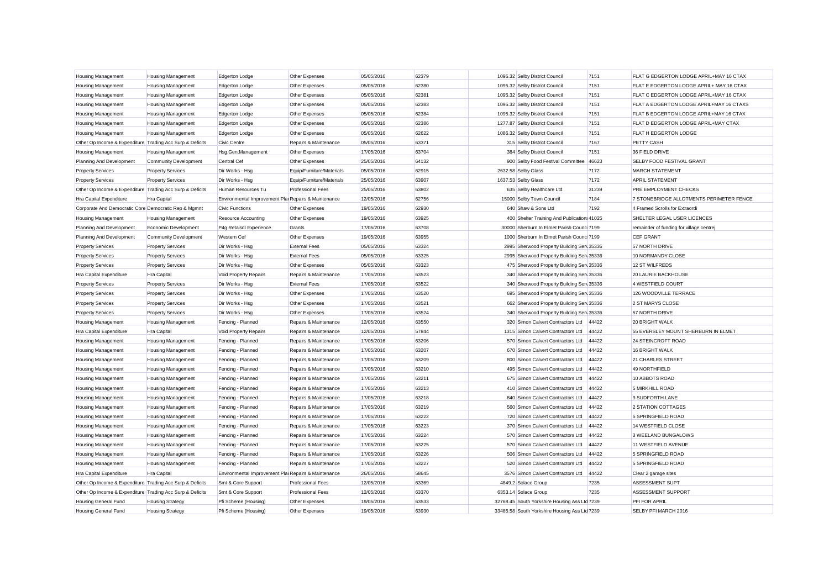| <b>Housing Management</b>                                 | <b>Housing Management</b> | Edgerton Lodge                                       | Other Expenses            | 05/05/2016 | 62379 | 1095.32 Selby District Council                | 7151  | FLAT G EDGERTON LODGE APRIL+MAY 16 CTAX  |
|-----------------------------------------------------------|---------------------------|------------------------------------------------------|---------------------------|------------|-------|-----------------------------------------------|-------|------------------------------------------|
| <b>Housing Management</b>                                 | <b>Housing Management</b> | Edgerton Lodge                                       | Other Expenses            | 05/05/2016 | 62380 | 1095.32 Selby District Council                | 7151  | FLAT E EDGERTON LODGE APRIL+ MAY 16 CTAX |
| <b>Housing Management</b>                                 | <b>Housing Management</b> | <b>Edgerton Lodge</b>                                | Other Expenses            | 05/05/2016 | 62381 | 1095.32 Selby District Council                | 7151  | FLAT C EDGERTON LODGE APRIL+MAY 16 CTAX  |
| <b>Housing Management</b>                                 | <b>Housing Management</b> | <b>Edgerton Lodge</b>                                | Other Expenses            | 05/05/2016 | 62383 | 1095.32 Selby District Council                | 7151  | FLAT A EDGERTON LODGE APRIL+MAY 16 CTAXS |
| Housing Management                                        | <b>Housing Management</b> | Edgerton Lodge                                       | Other Expenses            | 05/05/2016 | 62384 | 1095.32 Selby District Council                | 7151  | FLAT B EDGERTON LODGE APRIL+MAY 16 CTAX  |
| <b>Housing Management</b>                                 | <b>Housing Management</b> | Edgerton Lodge                                       | Other Expenses            | 05/05/2016 | 62386 | 1277.87 Selby District Council                | 7151  | FLAT D EDGERTON LODGE APRIL+MAY CTAX     |
| <b>Housing Management</b>                                 | <b>Housing Management</b> | <b>Edgerton Lodge</b>                                | Other Expenses            | 05/05/2016 | 62622 | 1086.32 Selby District Council                | 7151  | FLAT H EDGERTON LODGE                    |
| Other Op Income & Expenditure Trading Acc Surp & Deficits |                           | <b>Civic Centre</b>                                  | Repairs & Maintenance     | 05/05/2016 | 63371 | 315 Selby District Council                    | 7167  | PETTY CASH                               |
| <b>Housing Management</b>                                 | <b>Housing Management</b> | Hsg.Gen.Management                                   | Other Expenses            | 17/05/2016 | 63704 | 384 Selby District Council                    | 7151  | 36 FIELD DRIVE                           |
| Planning And Development                                  | Community Development     | <b>Central Cef</b>                                   | Other Expenses            | 25/05/2016 | 64132 | 900 Selby Food Festival Committee 46623       |       | SELBY FOOD FESTIVAL GRANT                |
| <b>Property Services</b>                                  | <b>Property Services</b>  | Dir Works - Hsg                                      | Equip/Furniture/Materials | 05/05/2016 | 62915 | 2632.58 Selby Glass                           | 7172  | <b>MARCH STATEMENT</b>                   |
| <b>Property Services</b>                                  | <b>Property Services</b>  | Dir Works - Hsg                                      | Equip/Furniture/Materials | 25/05/2016 | 63907 | 1637.53 Selby Glass                           | 7172  | <b>APRIL STATEMENT</b>                   |
| Other Op Income & Expenditure Trading Acc Surp & Deficits |                           | Human Resources Tu                                   | <b>Professional Fees</b>  | 25/05/2016 | 63802 | 635 Selby Healthcare Ltd                      | 31239 | PRE EMPLOYMENT CHECKS                    |
| Hra Capital Expenditure                                   | <b>Hra Capital</b>        | Environmental Improvement Plai Repairs & Maintenance |                           | 12/05/2016 | 62756 | 15000 Selby Town Council                      | 7184  | 7 STONEBRIDGE ALLOTMENTS PERIMETER FENCE |
| Corporate And Democratic Core Democratic Rep & Mgmnt      |                           | Civic Functions                                      | Other Expenses            | 19/05/2016 | 62930 | 640 Shaw & Sons Ltd                           | 7192  | 4 Framed Scrolls for Extraordi           |
| <b>Housing Management</b>                                 | <b>Housing Management</b> | Resource Accounting                                  | Other Expenses            | 19/05/2016 | 63925 | 400 Shelter Training And Publication: 41025   |       | SHELTER LEGAL USER LICENCES              |
| Planning And Development                                  | Economic Development      | P4g Retaisdl Experience                              | Grants                    | 17/05/2016 | 63708 | 30000 Sherburn In Elmet Parish Counc 7199     |       | remainder of funding for village centrej |
| Planning And Development                                  | Community Development     | <b>Western Cef</b>                                   | Other Expenses            | 19/05/2016 | 63955 | 1000 Sherburn In Elmet Parish Counc 7199      |       | <b>CEF GRANT</b>                         |
| <b>Property Services</b>                                  | <b>Property Services</b>  | Dir Works - Hsg                                      | <b>External Fees</b>      | 05/05/2016 | 63324 | 2995 Sherwood Property Building Sen 35336     |       | 57 NORTH DRIVE                           |
| <b>Property Services</b>                                  | <b>Property Services</b>  | Dir Works - Hsg                                      | <b>External Fees</b>      | 05/05/2016 | 63325 | 2995 Sherwood Property Building Serv 35336    |       | 10 NORMANDY CLOSE                        |
| <b>Property Services</b>                                  | <b>Property Services</b>  | Dir Works - Hsg                                      | Other Expenses            | 05/05/2016 | 63323 | 475 Sherwood Property Building Serv 35336     |       | 12 ST WILFREDS                           |
| Hra Capital Expenditure                                   | <b>Hra Capital</b>        | Void Property Repairs                                | Repairs & Maintenance     | 17/05/2016 | 63523 | 340 Sherwood Property Building Sen 35336      |       | 20 LAURIE BACKHOUSE                      |
| <b>Property Services</b>                                  | <b>Property Services</b>  | Dir Works - Hsg                                      | <b>External Fees</b>      | 17/05/2016 | 63522 | 340 Sherwood Property Building Sen 35336      |       | 4 WESTFIELD COURT                        |
| <b>Property Services</b>                                  | <b>Property Services</b>  | Dir Works - Hsg                                      | Other Expenses            | 17/05/2016 | 63520 | 695 Sherwood Property Building Sen 35336      |       | 126 WOODVILLE TERRACE                    |
| <b>Property Services</b>                                  | <b>Property Services</b>  | Dir Works - Hsg                                      | Other Expenses            | 17/05/2016 | 63521 | 662 Sherwood Property Building Serv 35336     |       | 2 ST MARYS CLOSE                         |
| <b>Property Services</b>                                  | <b>Property Services</b>  | Dir Works - Hsg                                      | Other Expenses            | 17/05/2016 | 63524 | 340 Sherwood Property Building Sen 35336      |       | 57 NORTH DRIVE                           |
| <b>Housing Management</b>                                 | <b>Housing Management</b> | Fencing - Planned                                    | Repairs & Maintenance     | 12/05/2016 | 63550 | 320 Simon Calvert Contractors Ltd             | 44422 | 20 BRIGHT WALK                           |
| Hra Capital Expenditure                                   | <b>Hra Capital</b>        | Void Property Repairs                                | Repairs & Maintenance     | 12/05/2016 | 57844 | 1315 Simon Calvert Contractors Ltd            | 44422 | 55 EVERSLEY MOUNT SHERBURN IN ELMET      |
| <b>Housing Management</b>                                 | <b>Housing Management</b> | Fencing - Planned                                    | Repairs & Maintenance     | 17/05/2016 | 63206 | 570 Simon Calvert Contractors Ltd             | 44422 | 24 STEINCROFT ROAD                       |
| <b>Housing Management</b>                                 | <b>Housing Management</b> | Fencing - Planned                                    | Repairs & Maintenance     | 17/05/2016 | 63207 | 670 Simon Calvert Contractors Ltd             | 44422 | 16 BRIGHT WALK                           |
| <b>Housing Management</b>                                 | <b>Housing Management</b> | Fencing - Planned                                    | Repairs & Maintenance     | 17/05/2016 | 63209 | 800 Simon Calvert Contractors Ltd             | 44422 | 21 CHARLES STREET                        |
| <b>Housing Management</b>                                 | <b>Housing Management</b> | Fencing - Planned                                    | Repairs & Maintenance     | 17/05/2016 | 63210 | 495 Simon Calvert Contractors Ltd             | 44422 | 49 NORTHFIELD                            |
| <b>Housing Management</b>                                 | <b>Housing Management</b> | Fencing - Planned                                    | Repairs & Maintenance     | 17/05/2016 | 63211 | 675 Simon Calvert Contractors Ltd             | 44422 | 10 ABBOTS ROAD                           |
| <b>Housing Management</b>                                 | <b>Housing Management</b> | Fencing - Planned                                    | Repairs & Maintenance     | 17/05/2016 | 63213 | 410 Simon Calvert Contractors Ltd             | 44422 | <b>5 MIRKHILL ROAD</b>                   |
| <b>Housing Management</b>                                 | <b>Housing Management</b> | Fencing - Planned                                    | Repairs & Maintenance     | 17/05/2016 | 63218 | 840 Simon Calvert Contractors Ltd             | 44422 | 9 SUDFORTH LANE                          |
| <b>Housing Management</b>                                 | <b>Housing Management</b> | Fencing - Planned                                    | Repairs & Maintenance     | 17/05/2016 | 63219 | 560 Simon Calvert Contractors Ltd             | 44422 | 2 STATION COTTAGES                       |
| <b>Housing Management</b>                                 | <b>Housing Management</b> | Fencing - Planned                                    | Repairs & Maintenance     | 17/05/2016 | 63222 | 720 Simon Calvert Contractors Ltd             | 44422 | 5 SPRINGFIELD ROAD                       |
| <b>Housing Management</b>                                 | <b>Housing Management</b> | Fencing - Planned                                    | Repairs & Maintenance     | 17/05/2016 | 63223 | 370 Simon Calvert Contractors Ltd             | 44422 | 14 WESTFIELD CLOSE                       |
| <b>Housing Management</b>                                 | <b>Housing Management</b> | Fencing - Planned                                    | Repairs & Maintenance     | 17/05/2016 | 63224 | 570 Simon Calvert Contractors Ltd             | 44422 | 3 WEELAND BUNGALOWS                      |
| <b>Housing Management</b>                                 | <b>Housing Management</b> | Fencing - Planned                                    | Repairs & Maintenance     | 17/05/2016 | 63225 | 570 Simon Calvert Contractors Ltd             | 44422 | 11 WESTFIELD AVENUE                      |
| <b>Housing Management</b>                                 | <b>Housing Management</b> | Fencing - Planned                                    | Repairs & Maintenance     | 17/05/2016 | 63226 | 506 Simon Calvert Contractors Ltd             | 44422 | 5 SPRINGFIELD ROAD                       |
| <b>Housing Management</b>                                 | <b>Housing Management</b> | Fencing - Planned                                    | Repairs & Maintenance     | 17/05/2016 | 63227 | 520 Simon Calvert Contractors Ltd             | 44422 | 5 SPRINGFIELD ROAD                       |
| Hra Capital Expenditure                                   | <b>Hra Capital</b>        | Environmental Improvement Plar Repairs & Maintenance |                           | 26/05/2016 | 58645 | 3576 Simon Calvert Contractors Ltd            | 44422 | Clear 2 garage sites                     |
| Other Op Income & Expenditure Trading Acc Surp & Deficits |                           | Smt & Core Support                                   | <b>Professional Fees</b>  | 12/05/2016 | 63369 | 4849.2 Solace Group                           | 7235  | <b>ASSESSMENT SUPT</b>                   |
| Other Op Income & Expenditure Trading Acc Surp & Deficits |                           | Smt & Core Support                                   | <b>Professional Fees</b>  | 12/05/2016 | 63370 | 6353.14 Solace Group                          | 7235  | ASSESSMENT SUPPORT                       |
| Housing General Fund                                      | <b>Housing Strategy</b>   | Pfi Scheme (Housing)                                 | Other Expenses            | 19/05/2016 | 63533 | 32768.45 South Yorkshire Housing Ass Ltc 7239 |       | PFI FOR APRIL                            |
| Housing General Fund                                      | <b>Housing Strategy</b>   | Pfi Scheme (Housing)                                 | Other Expenses            | 19/05/2016 | 63930 | 33485.58 South Yorkshire Housing Ass Ltc 7239 |       | SELBY PFI MARCH 2016                     |
|                                                           |                           |                                                      |                           |            |       |                                               |       |                                          |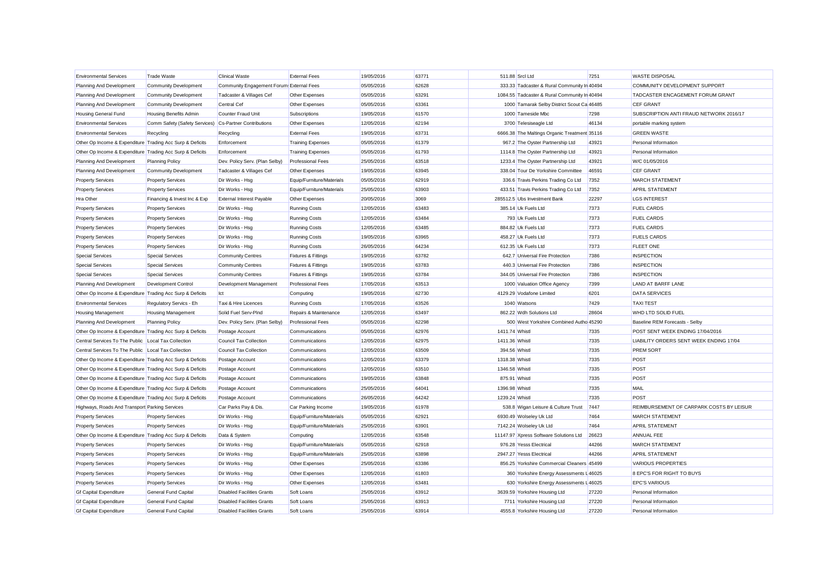| <b>Environmental Services</b>                             | <b>Trade Waste</b>            | <b>Clinical Waste</b>                     | <b>External Fees</b>           | 19/05/2016 | 63771 |                | 511.88 Srcl Ltd                              | 7251  | <b>WASTE DISPOSAL</b>                    |
|-----------------------------------------------------------|-------------------------------|-------------------------------------------|--------------------------------|------------|-------|----------------|----------------------------------------------|-------|------------------------------------------|
| Planning And Development                                  | <b>Community Development</b>  | Community Engagement Forum: External Fees |                                | 05/05/2016 | 62628 |                | 333.33 Tadcaster & Rural Community Ir 40494  |       | COMMUNITY DEVELOPMENT SUPPORT            |
| Planning And Development                                  | Community Development         | Tadcaster & Villages Cef                  | Other Expenses                 | 05/05/2016 | 63291 |                | 1084.55 Tadcaster & Rural Community In 40494 |       | TADCASTER ENCAGEMENT FORUM GRANT         |
| Planning And Development                                  | Community Development         | Central Cef                               | Other Expenses                 | 05/05/2016 | 63361 |                | 1000 Tamarak Selby District Scout Ca 46485   |       | CEF GRANT                                |
| Housing General Fund                                      | <b>Housing Benefits Admin</b> | Counter Fraud Unit                        | Subscriptions                  | 19/05/2016 | 61570 |                | 1000 Tameside Mbc                            | 7298  | SUBSCRIPTION ANTI FRAUD NETWORK 2016/17  |
| <b>Environmental Services</b>                             | Comm Safety (Safety Services) | Cs-Partner Contributions                  | Other Expenses                 | 12/05/2016 | 62194 |                | 3700 Telesiseagle Ltd                        | 46134 | portable marking system                  |
| <b>Environmental Services</b>                             | Recycling                     | Recycling                                 | <b>External Fees</b>           | 19/05/2016 | 63731 |                | 6666.38 The Maltings Organic Treatment 35116 |       | <b>GREEN WASTE</b>                       |
| Other Op Income & Expenditure Trading Acc Surp & Deficits |                               | Enforcement                               | <b>Training Expenses</b>       | 05/05/2016 | 61379 |                | 967.2 The Oyster Partnership Ltd             | 43921 | Personal Information                     |
| Other Op Income & Expenditure Trading Acc Surp & Deficits |                               | Enforcement                               | <b>Training Expenses</b>       | 05/05/2016 | 61793 |                | 1114.8 The Oyster Partnership Ltd            | 43921 | Personal Information                     |
| Planning And Development                                  | <b>Planning Policy</b>        | Dev. Policy Serv. (Plan Selby)            | <b>Professional Fees</b>       | 25/05/2016 | 63518 |                | 1233.4 The Oyster Partnership Ltd            | 43921 | W/C 01/05/2016                           |
| Planning And Development                                  | <b>Community Development</b>  | Tadcaster & Villages Cef                  | Other Expenses                 | 19/05/2016 | 63945 |                | 338.04 Tour De Yorkshire Committee           | 46591 | <b>CEF GRANT</b>                         |
| <b>Property Services</b>                                  | <b>Property Services</b>      | Dir Works - Hsg                           | Equip/Furniture/Materials      | 05/05/2016 | 62919 |                | 336.6 Travis Perkins Trading Co Ltd          | 7352  | <b>MARCH STATEMENT</b>                   |
| <b>Property Services</b>                                  | <b>Property Services</b>      | Dir Works - Hsg                           | Equip/Furniture/Materials      | 25/05/2016 | 63903 |                | 433.51 Travis Perkins Trading Co Ltd         | 7352  | <b>APRIL STATEMENT</b>                   |
| Hra Other                                                 | Financing & Invest Inc & Exp  | <b>External Interest Payable</b>          | Other Expenses                 | 20/05/2016 | 3069  |                | 285512.5 Ubs Investment Bank                 | 22297 | <b>LGS INTEREST</b>                      |
| <b>Property Services</b>                                  | <b>Property Services</b>      | Dir Works - Hsq                           | <b>Running Costs</b>           | 12/05/2016 | 63483 |                | 385.14 Uk Fuels Ltd                          | 7373  | <b>FUEL CARDS</b>                        |
| <b>Property Services</b>                                  | <b>Property Services</b>      | Dir Works - Hsg                           | <b>Running Costs</b>           | 12/05/2016 | 63484 |                | 793 Uk Fuels Ltd                             | 7373  | <b>FUEL CARDS</b>                        |
| <b>Property Services</b>                                  | <b>Property Services</b>      | Dir Works - Hsg                           | <b>Running Costs</b>           | 12/05/2016 | 63485 |                | 884.82 Uk Fuels Ltd                          | 7373  | <b>FUEL CARDS</b>                        |
| <b>Property Services</b>                                  | <b>Property Services</b>      | Dir Works - Hsg                           | <b>Running Costs</b>           | 19/05/2016 | 63965 |                | 458.27 Uk Fuels Ltd                          | 7373  | <b>FUELS CARDS</b>                       |
| <b>Property Services</b>                                  | <b>Property Services</b>      | Dir Works - Hsg                           | <b>Running Costs</b>           | 26/05/2016 | 64234 |                | 612.35 Uk Fuels Ltd                          | 7373  | <b>FLEET ONE</b>                         |
| Special Services                                          | <b>Special Services</b>       | <b>Community Centres</b>                  | Fixtures & Fittings            | 19/05/2016 | 63782 |                | 642.7 Universal Fire Protection              | 7386  | <b>INSPECTION</b>                        |
| <b>Special Services</b>                                   | <b>Special Services</b>       | <b>Community Centres</b>                  | <b>Fixtures &amp; Fittings</b> | 19/05/2016 | 63783 |                | 440.3 Universal Fire Protection              | 7386  | <b>INSPECTION</b>                        |
| <b>Special Services</b>                                   | <b>Special Services</b>       | <b>Community Centres</b>                  | <b>Fixtures &amp; Fittings</b> | 19/05/2016 | 63784 |                | 344.05 Universal Fire Protection             | 7386  | <b>INSPECTION</b>                        |
| Planning And Development                                  | <b>Development Control</b>    | Development Management                    | <b>Professional Fees</b>       | 17/05/2016 | 63513 |                | 1000 Valuation Office Agency                 | 7399  | LAND AT BARFF LANE                       |
| Other Op Income & Expenditure Trading Acc Surp & Deficits |                               | Ict                                       | Computing                      | 19/05/2016 | 62730 |                | 4129.29 Vodafone Limited                     | 6201  | <b>DATA SERVICES</b>                     |
| <b>Environmental Services</b>                             | Regulatory Servics - Eh       | Taxi & Hire Licences                      | <b>Running Costs</b>           | 17/05/2016 | 63526 |                | 1040 Watsons                                 | 7429  | <b>TAXI TEST</b>                         |
| Housing Management                                        | <b>Housing Management</b>     | Solid Fuel Serv-PInd                      | Repairs & Maintenance          | 12/05/2016 | 63497 |                | 862.22 Wdh Solutions Ltd                     | 28604 | WHD LTD SOLID FUEL                       |
| Planning And Development                                  | <b>Planning Policy</b>        | Dev. Policy Serv. (Plan Selby)            | <b>Professional Fees</b>       | 05/05/2016 | 62298 |                | 500 West Yorkshire Combined Autho 45290      |       | Baseline REM Forecasts - Selby           |
| Other Op Income & Expenditure Trading Acc Surp & Deficits |                               | Postage Account                           | Communications                 | 05/05/2016 | 62976 | 1411.74 Whistl |                                              | 7335  | POST SENT WEEK ENDING 17/04/2016         |
| Central Services To The Public Local Tax Collection       |                               | <b>Council Tax Collection</b>             | Communications                 | 12/05/2016 | 62975 | 1411.36 Whistl |                                              | 7335  | LIABILITY ORDERS SENT WEEK ENDING 17/04  |
| Central Services To The Public Local Tax Collection       |                               | Council Tax Collection                    | Communications                 | 12/05/2016 | 63509 | 394.56 Whistl  |                                              | 7335  | PREM SORT                                |
| Other Op Income & Expenditure Trading Acc Surp & Deficits |                               | Postage Account                           | Communications                 | 12/05/2016 | 63379 | 1318.38 Whistl |                                              | 7335  | POST                                     |
| Other Op Income & Expenditure Trading Acc Surp & Deficits |                               | Postage Account                           | Communications                 | 12/05/2016 | 63510 | 1346.58 Whistl |                                              | 7335  | POST                                     |
| Other Op Income & Expenditure Trading Acc Surp & Deficits |                               | Postage Account                           | Communications                 | 19/05/2016 | 63848 | 875.91 Whistl  |                                              | 7335  | POST                                     |
| Other Op Income & Expenditure Trading Acc Surp & Deficits |                               | Postage Account                           | Communications                 | 25/05/2016 | 64041 | 1396.98 Whistl |                                              | 7335  | MAIL                                     |
| Other Op Income & Expenditure Trading Acc Surp & Deficits |                               | Postage Account                           | Communications                 | 26/05/2016 | 64242 | 1239.24 Whistl |                                              | 7335  | POST                                     |
| Highways, Roads And Transport Parking Services            |                               | Car Parks Pay & Dis.                      | Car Parking Income             | 19/05/2016 | 61978 |                | 538.8 Wigan Leisure & Culture Trust          | 7447  | REIMBURSEMENT OF CARPARK COSTS BY LEISUR |
| <b>Property Services</b>                                  | <b>Property Services</b>      | Dir Works - Hsq                           | Equip/Furniture/Materials      | 05/05/2016 | 62921 |                | 6930.49 Wolseley Uk Ltd                      | 7464  | <b>MARCH STATEMENT</b>                   |
| <b>Property Services</b>                                  | <b>Property Services</b>      | Dir Works - Hsg                           | Equip/Furniture/Materials      | 25/05/2016 | 63901 |                | 7142.24 Wolseley Uk Ltd                      | 7464  | <b>APRIL STATEMENT</b>                   |
| Other Op Income & Expenditure Trading Acc Surp & Deficits |                               | Data & System                             | Computing                      | 12/05/2016 | 63548 |                | 11147.97 Xpress Software Solutions Ltd       | 26623 | ANNUAL FEE                               |
| <b>Property Services</b>                                  | <b>Property Services</b>      | Dir Works - Hsg                           | Equip/Furniture/Materials      | 05/05/2016 | 62918 |                | 976.28 Yesss Electrical                      | 44266 | <b>MARCH STATEMENT</b>                   |
| <b>Property Services</b>                                  | <b>Property Services</b>      | Dir Works - Hsg                           | Equip/Furniture/Materials      | 25/05/2016 | 63898 |                | 2947.27 Yesss Electrical                     | 44266 | <b>APRIL STATEMENT</b>                   |
| <b>Property Services</b>                                  | <b>Property Services</b>      | Dir Works - Hsg                           | Other Expenses                 | 25/05/2016 | 63386 |                | 856.25 Yorkshire Commercial Cleaners 45499   |       | <b>VARIOUS PROPERTIES</b>                |
| <b>Property Services</b>                                  | <b>Property Services</b>      | Dir Works - Hsg                           | Other Expenses                 | 12/05/2016 | 61803 |                | 360 Yorkshire Energy Assessments L 46025     |       | 8 EPC'S FOR RIGHT TO BUYS                |
| <b>Property Services</b>                                  | <b>Property Services</b>      | Dir Works - Hsg                           | Other Expenses                 | 12/05/2016 | 63481 |                | 630 Yorkshire Energy Assessments L 46025     |       | <b>EPC'S VARIOUS</b>                     |
| <b>Gf Capital Expenditure</b>                             | <b>General Fund Capital</b>   | <b>Disabled Facilities Grants</b>         | Soft Loans                     | 25/05/2016 | 63912 |                | 3639.59 Yorkshire Housing Ltd                | 27220 | Personal Information                     |
| <b>Gf Capital Expenditure</b>                             | <b>General Fund Capital</b>   | <b>Disabled Facilities Grants</b>         | Soft Loans                     | 25/05/2016 | 63913 |                | 7711 Yorkshire Housing Ltd                   | 27220 | Personal Information                     |
| <b>Gf Capital Expenditure</b>                             | <b>General Fund Capital</b>   | <b>Disabled Facilities Grants</b>         | Soft Loans                     | 25/05/2016 | 63914 |                | 4555.8 Yorkshire Housing Ltd                 | 27220 | Personal Information                     |
|                                                           |                               |                                           |                                |            |       |                |                                              |       |                                          |